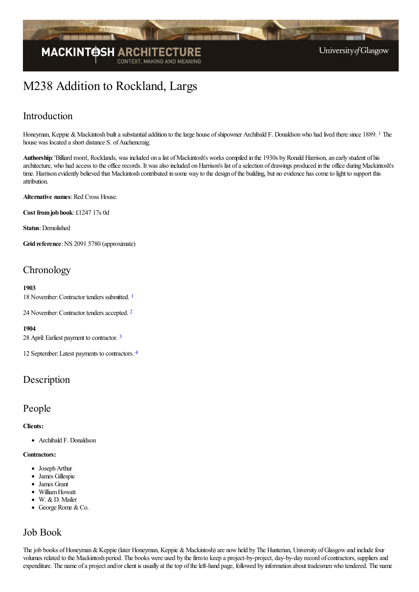

# M238 Addition to Rockland, Largs

## Introduction

<span id="page-0-0"></span>Honeyman, Keppie & Mackintosh built a substantial addition to the large house of shipowner Archibald F. Donaldson who had lived there since [1](#page-3-0)889. <sup>1</sup> The house was located a short distance S. of Auchencraig.

Authorship: 'Billiard room', Rocklands, was included on a list of Mackintosh's works compiled in the 1930s by Ronald Harrison, an early student of his architecture, who had access to the office records. It was also included on Harrison's list of a selection of drawings produced in the office during Mackintosh's time. Harrison evidently believed that Mackintosh contributed in some way to the design of the building, but no evidence has come to light to support this attribution.

**Alternative names: Red Cross House.** 

**Cost fromjob book**: £1247 17s 0d

**Status**: Demolished

**Grid reference**:NS 2091 5780 (approximate)

## **Chronology**

#### **1903**

<span id="page-0-2"></span><span id="page-0-1"></span>[1](#page-3-1)8 November: Contractor tenders submitted.<sup>1</sup>

[2](#page-3-2)4 November: Contractor tenders accepted. <sup>2</sup>

#### <span id="page-0-3"></span>**1904**

28 April: Earliest payment to contractor. [3](#page-3-3)

<span id="page-0-4"></span>12 September:Latest payments to contractors. [4](#page-3-4)

### **Description**

### People

### **Clients:**

Archibald F. Donaldson

#### **Contractors:**

- Joseph Arthur
- James Gillespie
- James Grant
- WilliamHowatt
- W. & D. Mailer
- George Rome & Co.  $\bullet$

### Job Book

The job books of Honeyman & Keppie (later Honeyman, Keppie & Mackintosh) are now held by The Hunterian, University of Glasgow and include four volumes related to the Mackintosh period. The books were used by thefirmto keep a project-by-project, day-by-day record ofcontractors, suppliersand expenditure. The name of a project and/or client is usually at the top of the left-hand page, followed by information about tradesmen who tendered. The name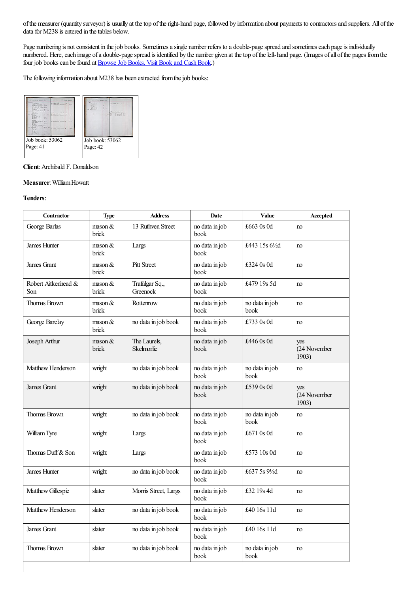ofthe measurer (quantity surveyor) is usually at thetop oftheright-hand page, followed by information about payments to contractorsand suppliers. All ofthe data for M238 is entered in the tables below.

Page numbering is not consistent in the job books. Sometimes a single number refers to a double-page spread and sometimes each page is individually numbered. Here, each image of a double-page spread is identified by the number given at the top of the left-hand page. (Images of all of the pages from the four job books can be found at Browse Job Books, Visit Book and Cash Book.)

The following information about M238 has been extracted from the job books:



### **Client**:Archibald F. Donaldson

#### **Measurer**:WilliamHowatt

#### **Tenders**:

| Contractor                 | <b>Type</b>                       | <b>Address</b>             | Date                                    | Value                    | Accepted                     |
|----------------------------|-----------------------------------|----------------------------|-----------------------------------------|--------------------------|------------------------------|
| George Barlas              | $m$ son $&$<br>brick              | 13 Ruthven Street          | no data in job<br>book                  | £663 0s 0d               | no                           |
| <b>James Hunter</b>        | $\text{mason } \&$<br>brick       | Largs                      | no data in job<br>book                  | £443 15s $6\frac{1}{2}d$ | no                           |
| James Grant                | $\text{mason } \&$<br>brick       | <b>Pitt Street</b>         | no data in job<br>book                  | £324 0s 0d               | no                           |
| Robert Aitkenhead &<br>Son | $\text{mason } \&$<br>brick       | Trafalgar Sq.,<br>Greenock | no data in job<br>book                  | £479 19s 5d              | no                           |
| <b>Thomas Brown</b>        | $\text{mason } \&$<br>brick       | Rottenrow                  | no data in job<br>book                  | no data in job<br>book   | no                           |
| George Barclay             | $\operatorname{mson} \&$<br>brick | no data in job book        | no data in job<br>book                  | £733 0s 0d               | no                           |
| Joseph Arthur              | $\text{mason } \&$<br>brick       | The Laurels,<br>Skelmorlie | no data in job<br>book                  | £446 0s 0d               | yes<br>(24 November<br>1903) |
| Matthew Henderson          | wright                            | no data in job book        | no data in job<br>book                  | no data in job<br>book   | no                           |
| James Grant                | wright                            | no data in job book        | no data in job<br>book                  | £539 0s 0d               | yes<br>(24 November<br>1903) |
| Thomas Brown               | wright                            | no data in job book        | no data in job<br>book                  | no data in job<br>book   | no                           |
| William Tyre               | wright                            | Largs                      | no data in job<br>book                  | £671 0s 0d               | no                           |
| Thomas Duff & Son          | wright                            | Largs                      | no data in job<br>book                  | £573 10s 0d              | no                           |
| James Hunter               | wright                            | no data in job book        | no data in job<br>book                  | £637 5s 91/2d            | no                           |
| Matthew Gillespie          | slater                            | Morris Street, Largs       | no data in job<br>book                  | £32 19s 4d               | no                           |
| Matthew Henderson          | slater                            | no data in job book        | no data in job<br>$\operatorname{book}$ | £40 16s 11d              | no                           |
| James Grant                | slater                            | no data in job book        | no data in job<br>book                  | £40 16s 11d              | no                           |
| <b>Thomas Brown</b>        | slater                            | no data in job book        | no data in job<br>book                  | no data in job<br>book   | no                           |
|                            |                                   |                            |                                         |                          |                              |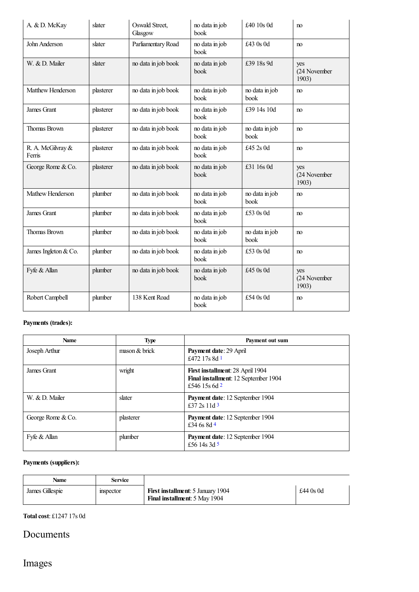| A. & D. McKay               | slater    | Oswald Street,<br>Glasgow | no data in job<br>book | £40 10s 0d             | no                           |
|-----------------------------|-----------|---------------------------|------------------------|------------------------|------------------------------|
| John Anderson               | slater    | Parliamentary Road        | no data in job<br>book | £43 0s 0d              | no                           |
| W. & D. Mailer              | slater    | no data in job book       | no data in job<br>book | £39 18s 9d             | yes<br>(24 November<br>1903) |
| Matthew Henderson           | plasterer | no data in job book       | no data in job<br>book | no data in job<br>book | no                           |
| James Grant                 | plasterer | no data in job book       | no data in job<br>book | £39 14s 10d            | no                           |
| <b>Thomas Brown</b>         | plasterer | no data in job book       | no data in job<br>book | no data in job<br>book | no                           |
| R. A. McGilvray &<br>Ferris | plasterer | no data in job book       | no data in job<br>book | £45 2s 0d              | no                           |
| George Rome & Co.           | plasterer | no data in job book       | no data in job<br>book | £31 16s 0d             | yes<br>(24 November<br>1903) |
| Mathew Henderson            | plumber   | no data in job book       | no data in job<br>book | no data in job<br>book | no                           |
| <b>James Grant</b>          | plumber   | no data in job book       | no data in job<br>book | £53 0s 0d              | no                           |
| Thomas Brown                | plumber   | no data in job book       | no data in job<br>book | no data in job<br>book | no                           |
| James Ingleton & Co.        | plumber   | no data in job book       | no data in job<br>book | £53 0s 0d              | no                           |
| Fyfe & Allan                | plumber   | no data in job book       | no data in job<br>book | £45 0s 0d              | yes<br>(24 November<br>1903) |
| Robert Campbell             | plumber   | 138 Kent Road             | no data in job<br>book | £54 0s 0d              | no                           |

### **Payments (trades):**

<span id="page-2-1"></span><span id="page-2-0"></span>

| <b>Name</b>       | <b>Type</b>                 | Payment out sum                                                                           |
|-------------------|-----------------------------|-------------------------------------------------------------------------------------------|
| Joseph Arthur     | $\frac{1}{2}$ mason & brick | <b>Payment date: 29 April</b><br>£472 17s 8d 1                                            |
| James Grant       | wright                      | First installment: 28 April 1904<br>Final installment: 12 September 1904<br>£546 15s 6d 2 |
| W. & D. Mailer    | slater                      | Payment date: 12 September 1904<br>£37 2s 11d $3$                                         |
| George Rome & Co. | plasterer                   | Payment date: 12 September 1904<br>£34 6s $8d$ 4                                          |
| Fyfe & Allan      | plumber                     | Payment date: 12 September 1904<br>£56 14s 3d 5                                           |

### <span id="page-2-4"></span><span id="page-2-3"></span><span id="page-2-2"></span>**Payments (suppliers):**

| Name            | <b>Service</b> |                                                                                  |             |
|-----------------|----------------|----------------------------------------------------------------------------------|-------------|
| James Gillespie | mspector       | <b>First installment:</b> 5 January 1904<br><b>Final installment:</b> 5 May 1904 | £44 $0s$ 0d |

**Totalcost**: £1247 17s 0d

### Documents